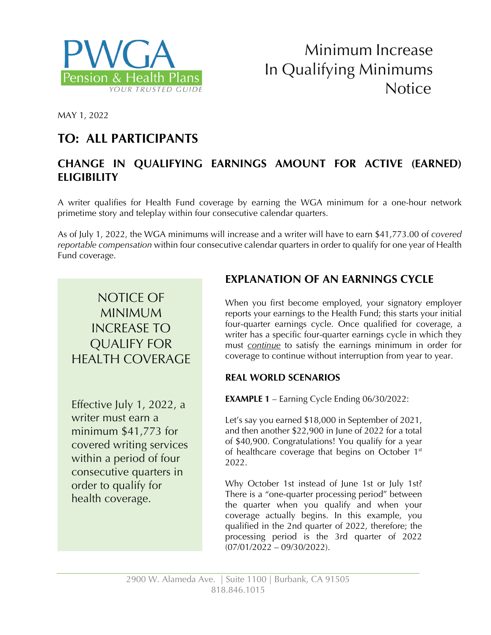



MAY 1, 2022

## **TO: ALL PARTICIPANTS**

### **CHANGE IN QUALIFYING EARNINGS AMOUNT FOR ACTIVE (EARNED) ELIGIBILITY**

A writer qualifies for Health Fund coverage by earning the WGA minimum for a one-hour network primetime story and teleplay within four consecutive calendar quarters.

As of July 1, 2022, the WGA minimums will increase and a writer will have to earn \$41,773.00 of *covered reportable compensation* within four consecutive calendar quarters in order to qualify for one year of Health Fund coverage.

## NOTICE OF MINIMUM INCREASE TO QUALIFY FOR HEALTH COVERAGE

Effective July 1, 2022, a writer must earn a minimum \$41,773 for covered writing services within a period of four consecutive quarters in order to qualify for health coverage.

### **EXPLANATION OF AN EARNINGS CYCLE**

When you first become employed, your signatory employer reports your earnings to the Health Fund; this starts your initial four-quarter earnings cycle. Once qualified for coverage, a writer has a specific four-quarter earnings cycle in which they must *continue* to satisfy the earnings minimum in order for coverage to continue without interruption from year to year.

#### **REAL WORLD SCENARIOS**

**EXAMPLE 1** – Earning Cycle Ending 06/30/2022:

Let's say you earned \$18,000 in September of 2021, and then another \$22,900 in June of 2022 for a total of \$40,900. Congratulations! You qualify for a year of healthcare coverage that begins on October 1<sup>st</sup> 2022.

Why October 1st instead of June 1st or July 1st? There is a "one-quarter processing period" between the quarter when you qualify and when your coverage actually begins. In this example, you qualified in the 2nd quarter of 2022, therefore; the processing period is the 3rd quarter of 2022  $(07/01/2022 - 09/30/2022)$ .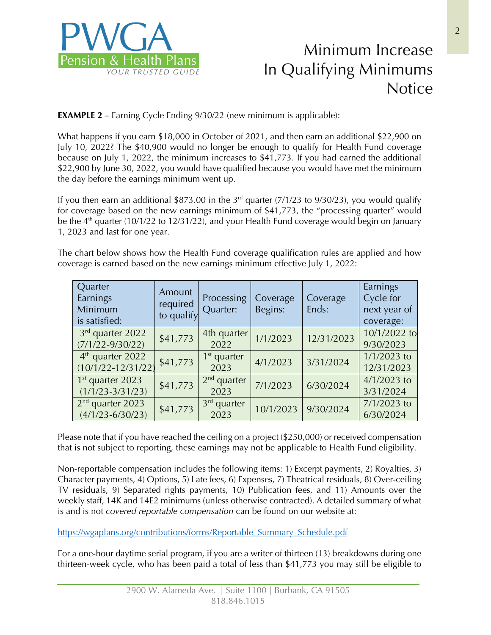

# Minimum Increase In Qualifying Minimums Notice

**EXAMPLE 2** – Earning Cycle Ending 9/30/22 (new minimum is applicable):

What happens if you earn \$18,000 in October of 2021, and then earn an additional \$22,900 on July 10, 2022? The \$40,900 would no longer be enough to qualify for Health Fund coverage because on July 1, 2022, the minimum increases to \$41,773. If you had earned the additional \$22,900 by June 30, 2022, you would have qualified because you would have met the minimum the day before the earnings minimum went up.

If you then earn an additional \$873.00 in the 3<sup>rd</sup> quarter (7/1/23 to 9/30/23), you would qualify for coverage based on the new earnings minimum of \$41,773, the "processing quarter" would be the  $4<sup>th</sup>$  quarter (10/1/22 to 12/31/22), and your Health Fund coverage would begin on January 1, 2023 and last for one year.

The chart below shows how the Health Fund coverage qualification rules are applied and how coverage is earned based on the new earnings minimum effective July 1, 2022:

| Quarter<br>Earnings<br>Minimum<br>is satisfied:        | Amount<br>required<br>to qualify | Processing<br>Quarter: | Coverage<br>Begins: | Coverage<br>Ends: | Earnings<br>Cycle for<br>next year of<br>coverage: |
|--------------------------------------------------------|----------------------------------|------------------------|---------------------|-------------------|----------------------------------------------------|
| 3rd quarter 2022<br>$(7/1/22 - 9/30/22)$               | \$41,773                         | 4th quarter<br>2022    | 1/1/2023            | 12/31/2023        | 10/1/2022 to<br>9/30/2023                          |
| 4 <sup>th</sup> quarter 2022<br>$(10/1/22 - 12/31/22)$ | \$41,773                         | $1st$ quarter<br>2023  | 4/1/2023            | 3/31/2024         | $1/1/2023$ to<br>12/31/2023                        |
| $1st$ quarter 2023<br>$(1/1/23 - 3/31/23)$             | \$41,773                         | $2nd$ quarter<br>2023  | 7/1/2023            | 6/30/2024         | $4/1/2023$ to<br>3/31/2024                         |
| $2nd$ quarter 2023<br>$(4/1/23 - 6/30/23)$             | \$41,773                         | $3rd$ quarter<br>2023  | 10/1/2023           | 9/30/2024         | 7/1/2023 to<br>6/30/2024                           |

Please note that if you have reached the ceiling on a project (\$250,000) or received compensation that is not subject to reporting, these earnings may not be applicable to Health Fund eligibility.

Non-reportable compensation includes the following items: 1) Excerpt payments, 2) Royalties, 3) Character payments, 4) Options, 5) Late fees, 6) Expenses, 7) Theatrical residuals, 8) Over-ceiling TV residuals, 9) Separated rights payments, 10) Publication fees, and 11) Amounts over the weekly staff, 14K and 14E2 minimums (unless otherwise contracted). A detailed summary of what is and is not *covered reportable compensation* can be found on our website at:

https://wgaplans.org/contributions/forms/Reportable\_Summary\_Schedule.pdf

For a one-hour daytime serial program, if you are a writer of thirteen (13) breakdowns during one thirteen-week cycle, who has been paid a total of less than \$41,773 you may still be eligible to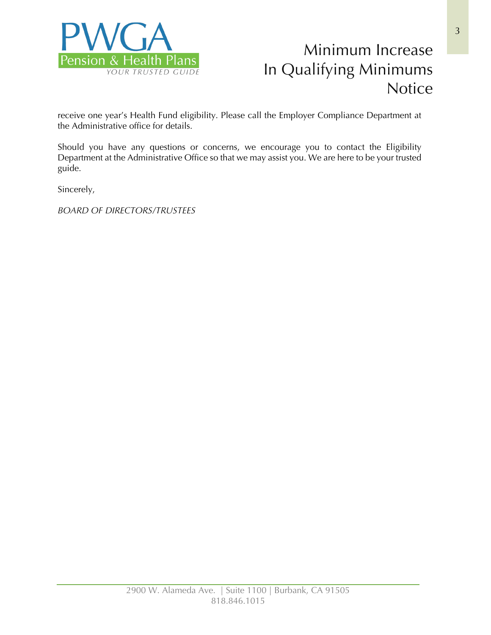

# Minimum Increase In Qualifying Minimums **Notice**

receive one year's Health Fund eligibility. Please call the Employer Compliance Department at the Administrative office for details.

Should you have any questions or concerns, we encourage you to contact the Eligibility Department at the Administrative Office so that we may assist you. We are here to be your trusted guide.

Sincerely,

*BOARD OF DIRECTORS/TRUSTEES*